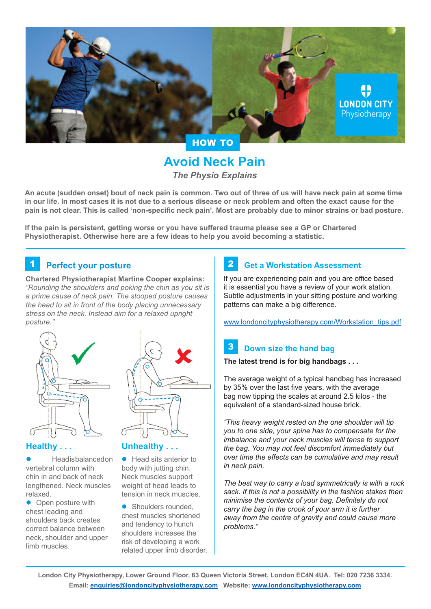

# **Avoid Neck Pain** *The Physio Explains*

**An acute (sudden onset) bout of neck pain is common. Two out of three of us will have neck pain at some time in our life. In most cases it is not due to a serious disease or neck problem and often the exact cause for the pain is not clear. This is called 'non-specific neck pain'. Most are probably due to minor strains or bad posture.**

**If the pain is persistent, getting worse or you have suffered trauma please see a GP or Chartered Physiotherapist. Otherwise here are a few ideas to help you avoid becoming a statistic.**

### **1** Perfect your posture **1** 2

**Chartered Physiotherapist Martine Cooper explains:** *"Rounding the shoulders and poking the chin as you sit is a prime cause of neck pain. The stooped posture causes the head to sit in front of the body placing unnecessary stress on the neck. Instead aim for a relaxed upright posture."*



### **Healthy . . .**

Head is balanced on vertebral column with chin in and back of neck lengthened. Neck muscles relaxed.

• Open posture with chest leading and shoulders back creates correct balance between neck, shoulder and upper limb muscles.

### **Unhealthy . . .**

 $\bullet$  Head sits anterior to body with jutting chin. Neck muscles support weight of head leads to tension in neck muscles.

• Shoulders rounded, chest muscles shortened and tendency to hunch shoulders increases the risk of developing a work related upper limb disorder.

## **Get a Workstation Assessment**

If you are experiencing pain and you are office based it is essential you have a review of your work station. Subtle adjustments in your sitting posture and working patterns can make a big difference.

[www.londoncityphysiotherapy.com/Workstation\\_tips.pdf](http://www.londoncityphysiotherapy.com/Workstation_tips.pdf)

#### **Down size the hand bag** 3

### **The latest trend is for big handbags . . .**

The average weight of a typical handbag has increased by 35% over the last five years, with the average bag now tipping the scales at around 2.5 kilos - the equivalent of a standard-sized house brick.

*"This heavy weight rested on the one shoulder will tip you to one side, your spine has to compensate for the imbalance and your neck muscles will tense to support the bag. You may not feel discomfort immediately but over time the effects can be cumulative and may result in neck pain.*

*The best way to carry a load symmetrically is with a ruck sack. If this is not a possibility in the fashion stakes then minimise the contents of your bag. Definitely do not carry the bag in the crook of your arm it is further away from the centre of gravity and could cause more problems."*